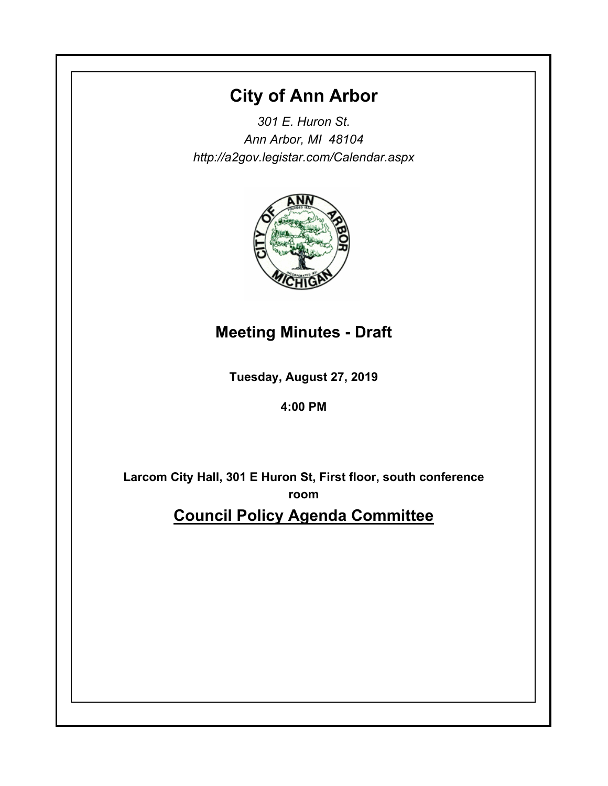# **City of Ann Arbor**

*301 E. Huron St. Ann Arbor, MI 48104 http://a2gov.legistar.com/Calendar.aspx*



# **Meeting Minutes - Draft**

**Tuesday, August 27, 2019**

# **4:00 PM**

**Larcom City Hall, 301 E Huron St, First floor, south conference room**

**Council Policy Agenda Committee**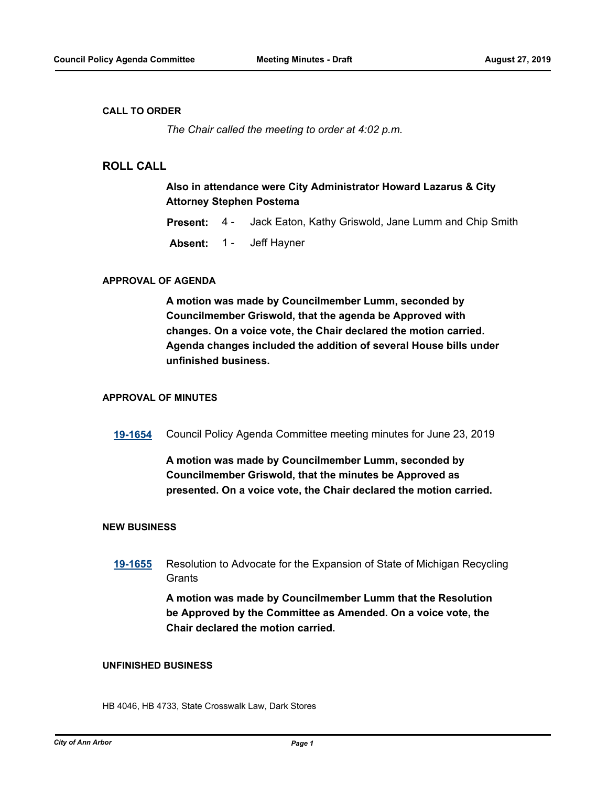#### **CALL TO ORDER**

*The Chair called the meeting to order at 4:02 p.m.*

### **ROLL CALL**

### **Also in attendance were City Administrator Howard Lazarus & City Attorney Stephen Postema**

- **Present:** 4 Jack Eaton, Kathy Griswold, Jane Lumm and Chip Smith
- **Absent:** 1 Jeff Hayner

#### **APPROVAL OF AGENDA**

**A motion was made by Councilmember Lumm, seconded by Councilmember Griswold, that the agenda be Approved with changes. On a voice vote, the Chair declared the motion carried. Agenda changes included the addition of several House bills under unfinished business.**

#### **APPROVAL OF MINUTES**

**[19-1654](http://a2gov.legistar.com/gateway.aspx?M=L&ID=23294)** Council Policy Agenda Committee meeting minutes for June 23, 2019

## **A motion was made by Councilmember Lumm, seconded by Councilmember Griswold, that the minutes be Approved as presented. On a voice vote, the Chair declared the motion carried.**

#### **NEW BUSINESS**

**[19-1655](http://a2gov.legistar.com/gateway.aspx?M=L&ID=23295)** Resolution to Advocate for the Expansion of State of Michigan Recycling **Grants** 

> **A motion was made by Councilmember Lumm that the Resolution be Approved by the Committee as Amended. On a voice vote, the Chair declared the motion carried.**

#### **UNFINISHED BUSINESS**

HB 4046, HB 4733, State Crosswalk Law, Dark Stores